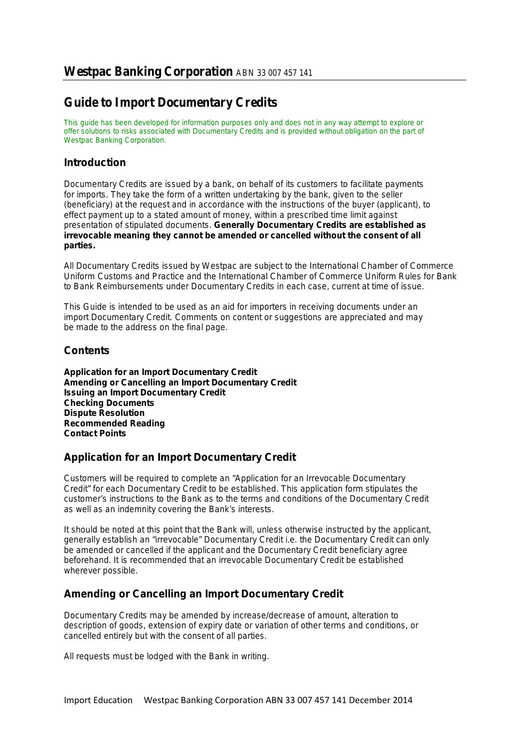# **Guide to Import Documentary Credits**

*This guide has been developed for information purposes only and does not in any way attempt to explore or offer solutions to risks associated with Documentary Credits and is provided without obligation on the part of Westpac Banking Corporation.*

### **Introduction**

Documentary Credits are issued by a bank, on behalf of its customers to facilitate payments for imports. They take the form of a written undertaking by the bank, given to the seller (beneficiary) at the request and in accordance with the instructions of the buyer (applicant), to effect payment up to a stated amount of money, within a prescribed time limit against presentation of stipulated documents. *Generally Documentary Credits are established as irrevocable meaning they cannot be amended or cancelled without the consent of all parties.*

All Documentary Credits issued by Westpac are subject to the International Chamber of Commerce Uniform Customs and Practice and the International Chamber of Commerce Uniform Rules for Bank to Bank Reimbursements under Documentary Credits in each case, current at time of issue.

This Guide is intended to be used as an aid for importers in receiving documents under an import Documentary Credit. Comments on content or suggestions are appreciated and may be made to the address on the final page.

## **Contents**

**Application for an Import Documentary Credit Amending or Cancelling an Import Documentary Credit Issuing an Import Documentary Credit Checking Documents Dispute Resolution Recommended Reading Contact Points**

#### **Application for an Import Documentary Credit**

Customers will be required to complete an "Application for an Irrevocable Documentary Credit" for each Documentary Credit to be established. This application form stipulates the customer's instructions to the Bank as to the terms and conditions of the Documentary Credit as well as an indemnity covering the Bank's interests.

It should be noted at this point that the Bank will, unless otherwise instructed by the applicant, generally establish an "irrevocable" Documentary Credit i.e. the Documentary Credit can only be amended or cancelled if the applicant and the Documentary Credit beneficiary agree beforehand. It is recommended that an irrevocable Documentary Credit be established wherever possible.

## **Amending or Cancelling an Import Documentary Credit**

Documentary Credits may be amended by increase/decrease of amount, alteration to description of goods, extension of expiry date or variation of other terms and conditions, or cancelled entirely but with the consent of all parties.

All requests must be lodged with the Bank in writing.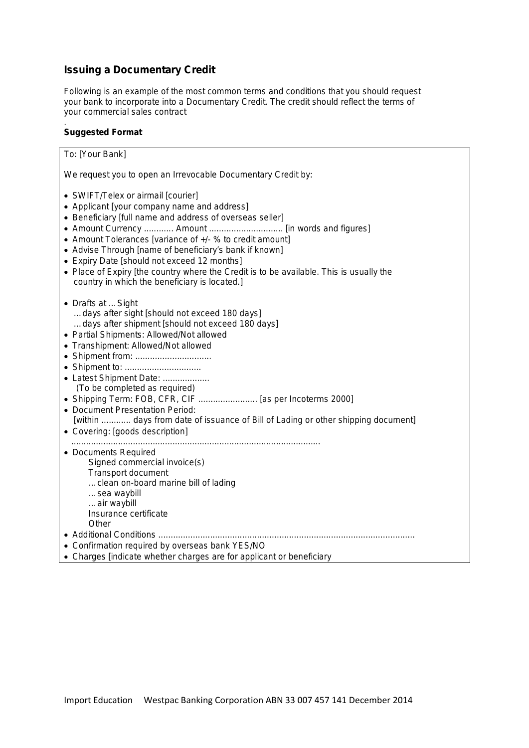# **Issuing a Documentary Credit**

*Following is an example of the most common terms and conditions that you should request your bank to incorporate into a Documentary Credit. The credit should reflect the terms of your commercial sales contract*

#### *.*  **Suggested Format**

| To: [Your Bank]                                                                                                                                                                                                                                                                                                                                                                                                                                                                                                     |
|---------------------------------------------------------------------------------------------------------------------------------------------------------------------------------------------------------------------------------------------------------------------------------------------------------------------------------------------------------------------------------------------------------------------------------------------------------------------------------------------------------------------|
| We request you to open an Irrevocable Documentary Credit by:                                                                                                                                                                                                                                                                                                                                                                                                                                                        |
| • SWIFT/Telex or airmail [courier]<br>• Applicant [your company name and address]<br>• Beneficiary [full name and address of overseas seller]<br>• Amount Currency  Amount  [in words and figures]<br>• Amount Tolerances [variance of +/- % to credit amount]<br>• Advise Through [name of beneficiary's bank if known]<br>• Expiry Date [should not exceed 12 months]<br>• Place of Expiry [the country where the Credit is to be available. This is usually the<br>country in which the beneficiary is located.] |
| • Drafts at  Sight<br>days after sight [should not exceed 180 days]<br>days after shipment [should not exceed 180 days]<br>• Partial Shipments: Allowed/Not allowed<br>• Transhipment: Allowed/Not allowed<br>• Shipment from:<br>• Latest Shipment Date:<br>(To be completed as required)<br>• Shipping Term: FOB, CFR, CIF  [as per Incoterms 2000]<br>• Document Presentation Period:<br>[within  days from date of issuance of Bill of Lading or other shipping document]<br>• Covering: [goods description]    |
| • Documents Required<br>Signed commercial invoice(s)<br><b>Transport document</b><br>clean on-board marine bill of lading<br>sea waybill<br>air waybill<br>Insurance certificate<br>Other<br>• Additional Conditions<br>• Confirmation required by overseas bank YES/NO<br>• Charges [indicate whether charges are for applicant or beneficiary                                                                                                                                                                     |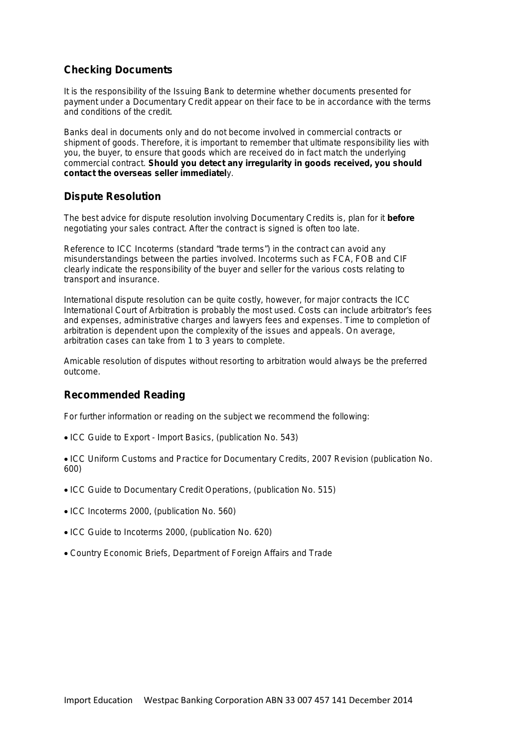### **Checking Documents**

It is the responsibility of the Issuing Bank to determine whether documents presented for payment under a Documentary Credit appear on their face to be in accordance with the terms and conditions of the credit.

Banks deal in documents only and do not become involved in commercial contracts or shipment of goods. Therefore, it is important to remember that ultimate responsibility lies with you, the buyer, to ensure that goods which are received do in fact match the underlying commercial contract. *Should you detect any irregularity in goods received, you should contact the overseas seller immediately.*

#### **Dispute Resolution**

The best advice for dispute resolution involving Documentary Credits is, plan for it *before* negotiating your sales contract. After the contract is signed is often too late.

Reference to ICC Incoterms (standard "trade terms") in the contract can avoid any misunderstandings between the parties involved. Incoterms such as FCA, FOB and CIF clearly indicate the responsibility of the buyer and seller for the various costs relating to transport and insurance.

International dispute resolution can be quite costly, however, for major contracts the ICC International Court of Arbitration is probably the most used. Costs can include arbitrator's fees and expenses, administrative charges and lawyers fees and expenses. Time to completion of arbitration is dependent upon the complexity of the issues and appeals. On average, arbitration cases can take from 1 to 3 years to complete.

Amicable resolution of disputes without resorting to arbitration would always be the preferred outcome.

#### **Recommended Reading**

For further information or reading on the subject we recommend the following:

- ICC Guide to Export Import Basics, (publication No. 543)
- ICC Uniform Customs and Practice for Documentary Credits, 2007 Revision (publication No. 600)
- ICC Guide to Documentary Credit Operations, (publication No. 515)
- ICC Incoterms 2000, (publication No. 560)
- ICC Guide to Incoterms 2000, (publication No. 620)
- Country Economic Briefs, Department of Foreign Affairs and Trade